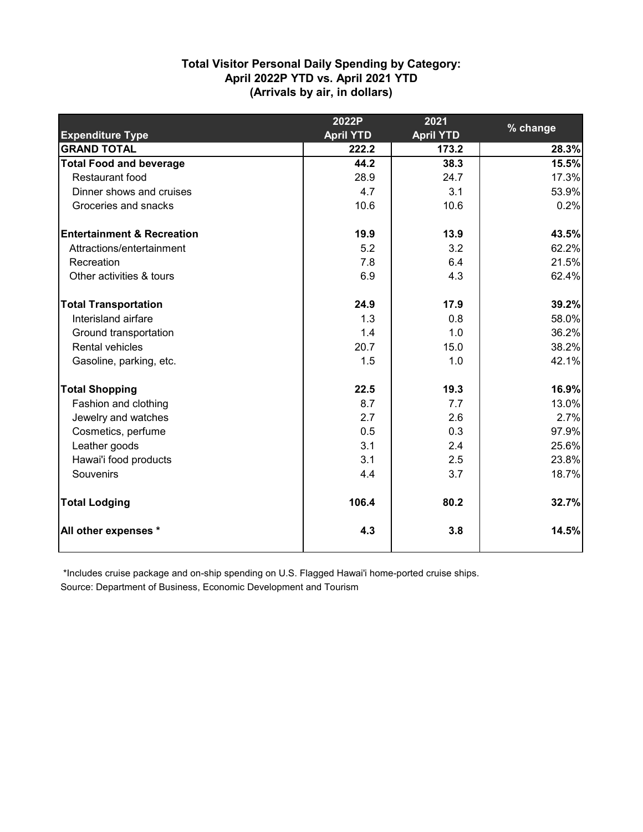#### **(Arrivals by air, in dollars) Total Visitor Personal Daily Spending by Category: April 2022P YTD vs. April 2021 YTD**

|                                       | 2022P            | 2021             | % change |
|---------------------------------------|------------------|------------------|----------|
| <b>Expenditure Type</b>               | <b>April YTD</b> | <b>April YTD</b> |          |
| <b>GRAND TOTAL</b>                    | 222.2            | 173.2            | 28.3%    |
| <b>Total Food and beverage</b>        | 44.2             | 38.3             | 15.5%    |
| Restaurant food                       | 28.9             | 24.7             | 17.3%    |
| Dinner shows and cruises              | 4.7              | 3.1              | 53.9%    |
| Groceries and snacks                  | 10.6             | 10.6             | 0.2%     |
| <b>Entertainment &amp; Recreation</b> | 19.9             | 13.9             | 43.5%    |
| Attractions/entertainment             | 5.2              | 3.2              | 62.2%    |
| Recreation                            | 7.8              | 6.4              | 21.5%    |
| Other activities & tours              | 6.9              | 4.3              | 62.4%    |
| <b>Total Transportation</b>           | 24.9             | 17.9             | 39.2%    |
| Interisland airfare                   | 1.3              | 0.8              | 58.0%    |
| Ground transportation                 | 1.4              | 1.0              | 36.2%    |
| <b>Rental vehicles</b>                | 20.7             | 15.0             | 38.2%    |
| Gasoline, parking, etc.               | 1.5              | 1.0              | 42.1%    |
| <b>Total Shopping</b>                 | 22.5             | 19.3             | 16.9%    |
| Fashion and clothing                  | 8.7              | 7.7              | 13.0%    |
| Jewelry and watches                   | 2.7              | 2.6              | 2.7%     |
| Cosmetics, perfume                    | 0.5              | 0.3              | 97.9%    |
| Leather goods                         | 3.1              | 2.4              | 25.6%    |
| Hawai'i food products                 | 3.1              | 2.5              | 23.8%    |
| Souvenirs                             | 4.4              | 3.7              | 18.7%    |
| <b>Total Lodging</b>                  | 106.4            | 80.2             | 32.7%    |
| All other expenses *                  | 4.3              | 3.8              | 14.5%    |

\*Includes cruise package and on-ship spending on U.S. Flagged Hawai'i home-ported cruise ships.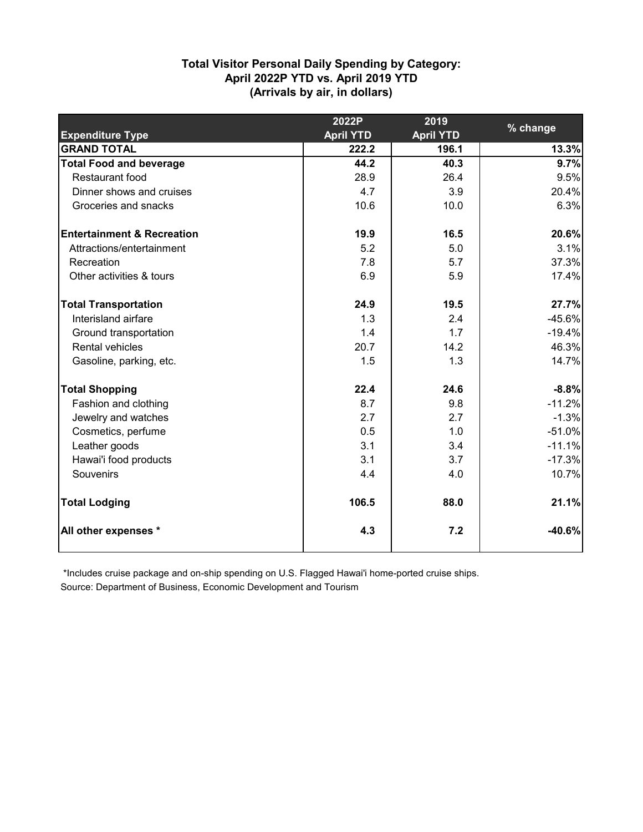#### **(Arrivals by air, in dollars) Total Visitor Personal Daily Spending by Category: April 2022P YTD vs. April 2019 YTD**

|                                       | 2022P            | 2019             | % change |
|---------------------------------------|------------------|------------------|----------|
| <b>Expenditure Type</b>               | <b>April YTD</b> | <b>April YTD</b> |          |
| <b>GRAND TOTAL</b>                    | 222.2            | 196.1            | 13.3%    |
| <b>Total Food and beverage</b>        | 44.2             | 40.3             | 9.7%     |
| <b>Restaurant food</b>                | 28.9             | 26.4             | 9.5%     |
| Dinner shows and cruises              | 4.7              | 3.9              | 20.4%    |
| Groceries and snacks                  | 10.6             | 10.0             | 6.3%     |
| <b>Entertainment &amp; Recreation</b> | 19.9             | 16.5             | 20.6%    |
| Attractions/entertainment             | 5.2              | 5.0              | 3.1%     |
| Recreation                            | 7.8              | 5.7              | 37.3%    |
| Other activities & tours              | 6.9              | 5.9              | 17.4%    |
| <b>Total Transportation</b>           | 24.9             | 19.5             | 27.7%    |
| Interisland airfare                   | 1.3              | 2.4              | -45.6%   |
| Ground transportation                 | 1.4              | 1.7              | $-19.4%$ |
| Rental vehicles                       | 20.7             | 14.2             | 46.3%    |
| Gasoline, parking, etc.               | 1.5              | 1.3              | 14.7%    |
| <b>Total Shopping</b>                 | 22.4             | 24.6             | $-8.8%$  |
| Fashion and clothing                  | 8.7              | 9.8              | $-11.2%$ |
| Jewelry and watches                   | 2.7              | 2.7              | $-1.3%$  |
| Cosmetics, perfume                    | 0.5              | 1.0              | $-51.0%$ |
| Leather goods                         | 3.1              | 3.4              | $-11.1%$ |
| Hawai'i food products                 | 3.1              | 3.7              | $-17.3%$ |
| Souvenirs                             | 4.4              | 4.0              | 10.7%    |
| <b>Total Lodging</b>                  | 106.5            | 88.0             | 21.1%    |
| All other expenses *                  | 4.3              | 7.2              | $-40.6%$ |

\*Includes cruise package and on-ship spending on U.S. Flagged Hawai'i home-ported cruise ships.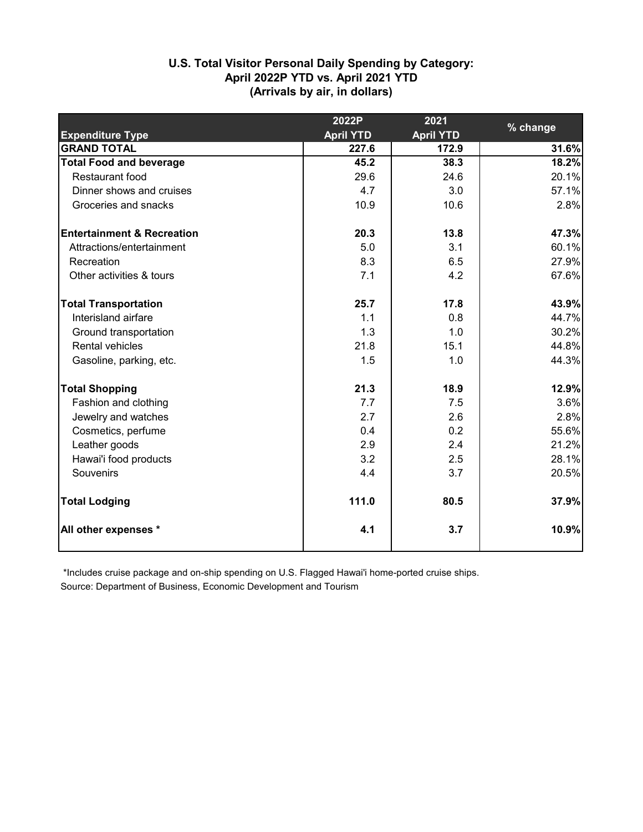# **(Arrivals by air, in dollars) U.S. Total Visitor Personal Daily Spending by Category: April 2022P YTD vs. April 2021 YTD**

|                                       | 2022P            | 2021             | % change |
|---------------------------------------|------------------|------------------|----------|
| <b>Expenditure Type</b>               | <b>April YTD</b> | <b>April YTD</b> |          |
| <b>GRAND TOTAL</b>                    | 227.6            | 172.9            | 31.6%    |
| <b>Total Food and beverage</b>        | 45.2             | 38.3             | 18.2%    |
| <b>Restaurant food</b>                | 29.6             | 24.6             | 20.1%    |
| Dinner shows and cruises              | 4.7              | 3.0              | 57.1%    |
| Groceries and snacks                  | 10.9             | 10.6             | 2.8%     |
| <b>Entertainment &amp; Recreation</b> | 20.3             | 13.8             | 47.3%    |
| Attractions/entertainment             | 5.0              | 3.1              | 60.1%    |
| Recreation                            | 8.3              | 6.5              | 27.9%    |
| Other activities & tours              | 7.1              | 4.2              | 67.6%    |
| <b>Total Transportation</b>           | 25.7             | 17.8             | 43.9%    |
| Interisland airfare                   | 1.1              | 0.8              | 44.7%    |
| Ground transportation                 | 1.3              | 1.0              | 30.2%    |
| <b>Rental vehicles</b>                | 21.8             | 15.1             | 44.8%    |
| Gasoline, parking, etc.               | 1.5              | 1.0              | 44.3%    |
| <b>Total Shopping</b>                 | 21.3             | 18.9             | 12.9%    |
| Fashion and clothing                  | 7.7              | 7.5              | 3.6%     |
| Jewelry and watches                   | 2.7              | 2.6              | 2.8%     |
| Cosmetics, perfume                    | 0.4              | 0.2              | 55.6%    |
| Leather goods                         | 2.9              | 2.4              | 21.2%    |
| Hawai'i food products                 | 3.2              | 2.5              | 28.1%    |
| Souvenirs                             | 4.4              | 3.7              | 20.5%    |
| <b>Total Lodging</b>                  | 111.0            | 80.5             | 37.9%    |
| All other expenses *                  | 4.1              | 3.7              | 10.9%    |

\*Includes cruise package and on-ship spending on U.S. Flagged Hawai'i home-ported cruise ships.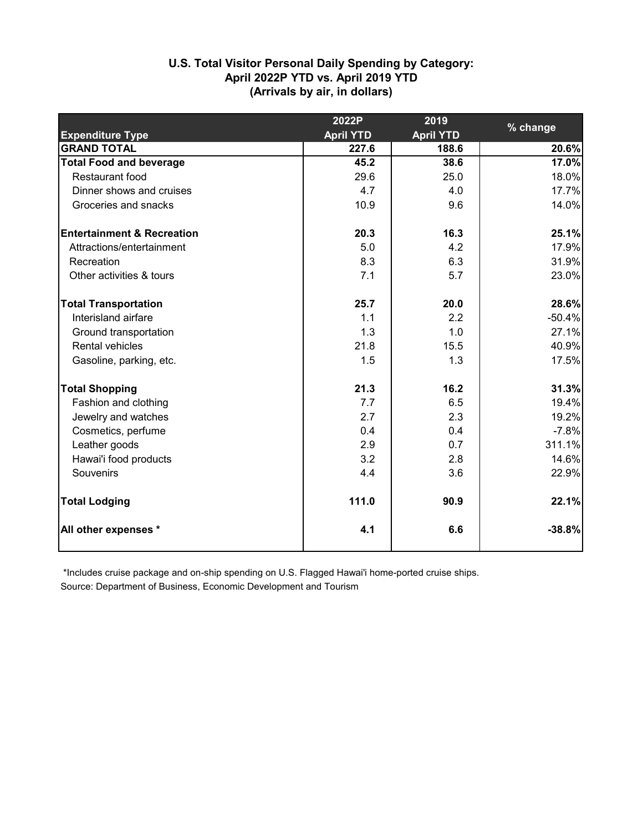# **(Arrivals by air, in dollars) U.S. Total Visitor Personal Daily Spending by Category: April 2022P YTD vs. April 2019 YTD**

|                                       | 2022P            | 2019             | % change |
|---------------------------------------|------------------|------------------|----------|
| <b>Expenditure Type</b>               | <b>April YTD</b> | <b>April YTD</b> |          |
| <b>GRAND TOTAL</b>                    | 227.6            | 188.6            | 20.6%    |
| <b>Total Food and beverage</b>        | 45.2             | 38.6             | 17.0%    |
| <b>Restaurant food</b>                | 29.6             | 25.0             | 18.0%    |
| Dinner shows and cruises              | 4.7              | 4.0              | 17.7%    |
| Groceries and snacks                  | 10.9             | 9.6              | 14.0%    |
| <b>Entertainment &amp; Recreation</b> | 20.3             | 16.3             | 25.1%    |
| Attractions/entertainment             | 5.0              | 4.2              | 17.9%    |
| Recreation                            | 8.3              | 6.3              | 31.9%    |
| Other activities & tours              | 7.1              | 5.7              | 23.0%    |
| <b>Total Transportation</b>           | 25.7             | 20.0             | 28.6%    |
| Interisland airfare                   | 1.1              | 2.2              | $-50.4%$ |
| Ground transportation                 | 1.3              | 1.0              | 27.1%    |
| <b>Rental vehicles</b>                | 21.8             | 15.5             | 40.9%    |
| Gasoline, parking, etc.               | 1.5              | 1.3              | 17.5%    |
| <b>Total Shopping</b>                 | 21.3             | 16.2             | 31.3%    |
| Fashion and clothing                  | 7.7              | 6.5              | 19.4%    |
| Jewelry and watches                   | 2.7              | 2.3              | 19.2%    |
| Cosmetics, perfume                    | 0.4              | 0.4              | $-7.8%$  |
| Leather goods                         | 2.9              | 0.7              | 311.1%   |
| Hawai'i food products                 | 3.2              | 2.8              | 14.6%    |
| Souvenirs                             | 4.4              | 3.6              | 22.9%    |
| <b>Total Lodging</b>                  | 111.0            | 90.9             | 22.1%    |
| All other expenses *                  | 4.1              | 6.6              | $-38.8%$ |

\*Includes cruise package and on-ship spending on U.S. Flagged Hawai'i home-ported cruise ships.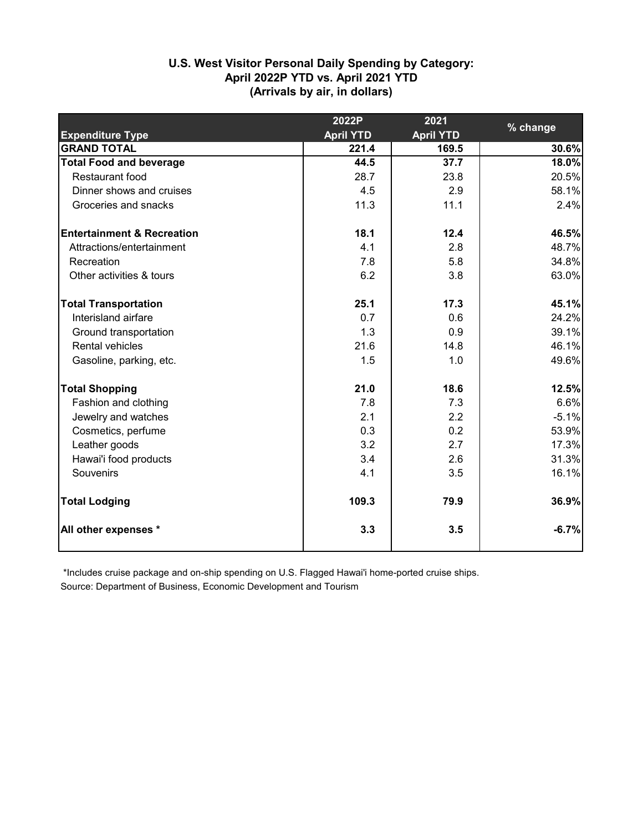# **(Arrivals by air, in dollars) U.S. West Visitor Personal Daily Spending by Category: April 2022P YTD vs. April 2021 YTD**

|                                       | 2022P            | 2021             | % change |
|---------------------------------------|------------------|------------------|----------|
| <b>Expenditure Type</b>               | <b>April YTD</b> | <b>April YTD</b> |          |
| <b>GRAND TOTAL</b>                    | 221.4            | 169.5            | 30.6%    |
| <b>Total Food and beverage</b>        | 44.5             | 37.7             | 18.0%    |
| <b>Restaurant food</b>                | 28.7             | 23.8             | 20.5%    |
| Dinner shows and cruises              | 4.5              | 2.9              | 58.1%    |
| Groceries and snacks                  | 11.3             | 11.1             | 2.4%     |
| <b>Entertainment &amp; Recreation</b> | 18.1             | 12.4             | 46.5%    |
| Attractions/entertainment             | 4.1              | 2.8              | 48.7%    |
| Recreation                            | 7.8              | 5.8              | 34.8%    |
| Other activities & tours              | 6.2              | 3.8              | 63.0%    |
| <b>Total Transportation</b>           | 25.1             | 17.3             | 45.1%    |
| Interisland airfare                   | 0.7              | 0.6              | 24.2%    |
| Ground transportation                 | 1.3              | 0.9              | 39.1%    |
| Rental vehicles                       | 21.6             | 14.8             | 46.1%    |
| Gasoline, parking, etc.               | 1.5              | 1.0              | 49.6%    |
| <b>Total Shopping</b>                 | 21.0             | 18.6             | 12.5%    |
| Fashion and clothing                  | 7.8              | 7.3              | 6.6%     |
| Jewelry and watches                   | 2.1              | 2.2              | $-5.1%$  |
| Cosmetics, perfume                    | 0.3              | 0.2              | 53.9%    |
| Leather goods                         | 3.2              | 2.7              | 17.3%    |
| Hawai'i food products                 | 3.4              | 2.6              | 31.3%    |
| Souvenirs                             | 4.1              | 3.5              | 16.1%    |
| <b>Total Lodging</b>                  | 109.3            | 79.9             | 36.9%    |
| All other expenses *                  | 3.3              | 3.5              | $-6.7%$  |

\*Includes cruise package and on-ship spending on U.S. Flagged Hawai'i home-ported cruise ships.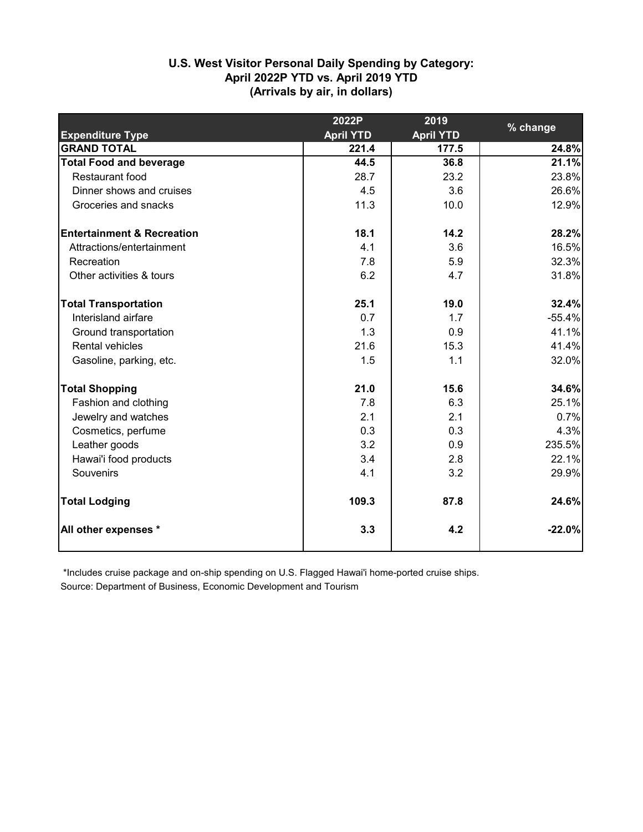# **(Arrivals by air, in dollars) U.S. West Visitor Personal Daily Spending by Category: April 2022P YTD vs. April 2019 YTD**

|                                       | 2022P            | 2019             | % change |
|---------------------------------------|------------------|------------------|----------|
| <b>Expenditure Type</b>               | <b>April YTD</b> | <b>April YTD</b> |          |
| <b>GRAND TOTAL</b>                    | 221.4            | 177.5            | 24.8%    |
| <b>Total Food and beverage</b>        | 44.5             | 36.8             | 21.1%    |
| <b>Restaurant food</b>                | 28.7             | 23.2             | 23.8%    |
| Dinner shows and cruises              | 4.5              | 3.6              | 26.6%    |
| Groceries and snacks                  | 11.3             | 10.0             | 12.9%    |
| <b>Entertainment &amp; Recreation</b> | 18.1             | 14.2             | 28.2%    |
| Attractions/entertainment             | 4.1              | 3.6              | 16.5%    |
| Recreation                            | 7.8              | 5.9              | 32.3%    |
| Other activities & tours              | 6.2              | 4.7              | 31.8%    |
| <b>Total Transportation</b>           | 25.1             | 19.0             | 32.4%    |
| Interisland airfare                   | 0.7              | 1.7              | $-55.4%$ |
| Ground transportation                 | 1.3              | 0.9              | 41.1%    |
| <b>Rental vehicles</b>                | 21.6             | 15.3             | 41.4%    |
| Gasoline, parking, etc.               | 1.5              | 1.1              | 32.0%    |
| <b>Total Shopping</b>                 | 21.0             | 15.6             | 34.6%    |
| Fashion and clothing                  | 7.8              | 6.3              | 25.1%    |
| Jewelry and watches                   | 2.1              | 2.1              | 0.7%     |
| Cosmetics, perfume                    | 0.3              | 0.3              | 4.3%     |
| Leather goods                         | 3.2              | 0.9              | 235.5%   |
| Hawai'i food products                 | 3.4              | 2.8              | 22.1%    |
| Souvenirs                             | 4.1              | 3.2              | 29.9%    |
| <b>Total Lodging</b>                  | 109.3            | 87.8             | 24.6%    |
| All other expenses *                  | 3.3              | 4.2              | $-22.0%$ |

\*Includes cruise package and on-ship spending on U.S. Flagged Hawai'i home-ported cruise ships.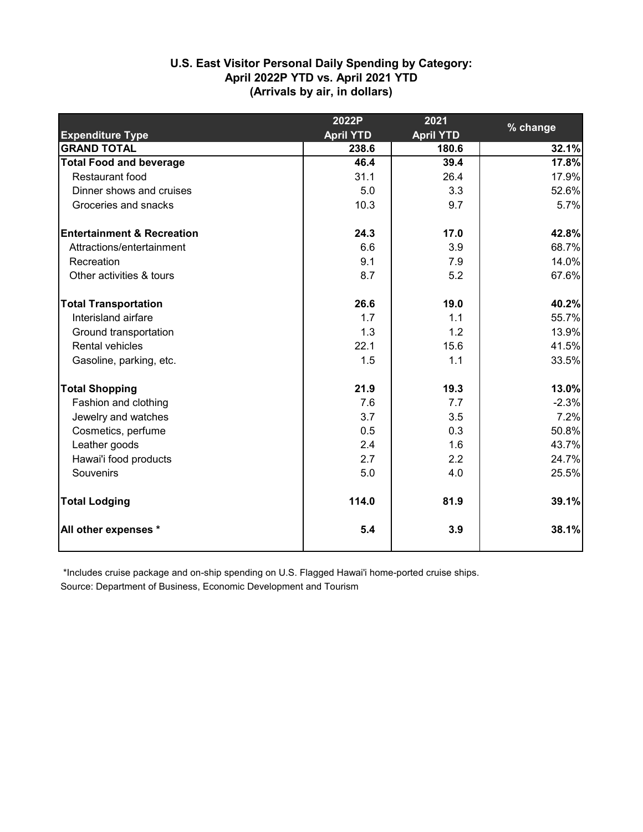# **(Arrivals by air, in dollars) U.S. East Visitor Personal Daily Spending by Category: April 2022P YTD vs. April 2021 YTD**

|                                       | 2022P            | 2021             |          |
|---------------------------------------|------------------|------------------|----------|
| <b>Expenditure Type</b>               | <b>April YTD</b> | <b>April YTD</b> | % change |
| <b>GRAND TOTAL</b>                    | 238.6            | 180.6            | 32.1%    |
| <b>Total Food and beverage</b>        | 46.4             | 39.4             | 17.8%    |
| <b>Restaurant food</b>                | 31.1             | 26.4             | 17.9%    |
| Dinner shows and cruises              | 5.0              | 3.3              | 52.6%    |
| Groceries and snacks                  | 10.3             | 9.7              | 5.7%     |
| <b>Entertainment &amp; Recreation</b> | 24.3             | 17.0             | 42.8%    |
| Attractions/entertainment             | 6.6              | 3.9              | 68.7%    |
| Recreation                            | 9.1              | 7.9              | 14.0%    |
| Other activities & tours              | 8.7              | 5.2              | 67.6%    |
| <b>Total Transportation</b>           | 26.6             | 19.0             | 40.2%    |
| Interisland airfare                   | 1.7              | 1.1              | 55.7%    |
| Ground transportation                 | 1.3              | 1.2              | 13.9%    |
| Rental vehicles                       | 22.1             | 15.6             | 41.5%    |
| Gasoline, parking, etc.               | 1.5              | 1.1              | 33.5%    |
| <b>Total Shopping</b>                 | 21.9             | 19.3             | 13.0%    |
| Fashion and clothing                  | 7.6              | 7.7              | $-2.3%$  |
| Jewelry and watches                   | 3.7              | 3.5              | 7.2%     |
| Cosmetics, perfume                    | 0.5              | 0.3              | 50.8%    |
| Leather goods                         | 2.4              | 1.6              | 43.7%    |
| Hawai'i food products                 | 2.7              | 2.2              | 24.7%    |
| Souvenirs                             | 5.0              | 4.0              | 25.5%    |
| <b>Total Lodging</b>                  | 114.0            | 81.9             | 39.1%    |
| All other expenses *                  | 5.4              | 3.9              | 38.1%    |

\*Includes cruise package and on-ship spending on U.S. Flagged Hawai'i home-ported cruise ships.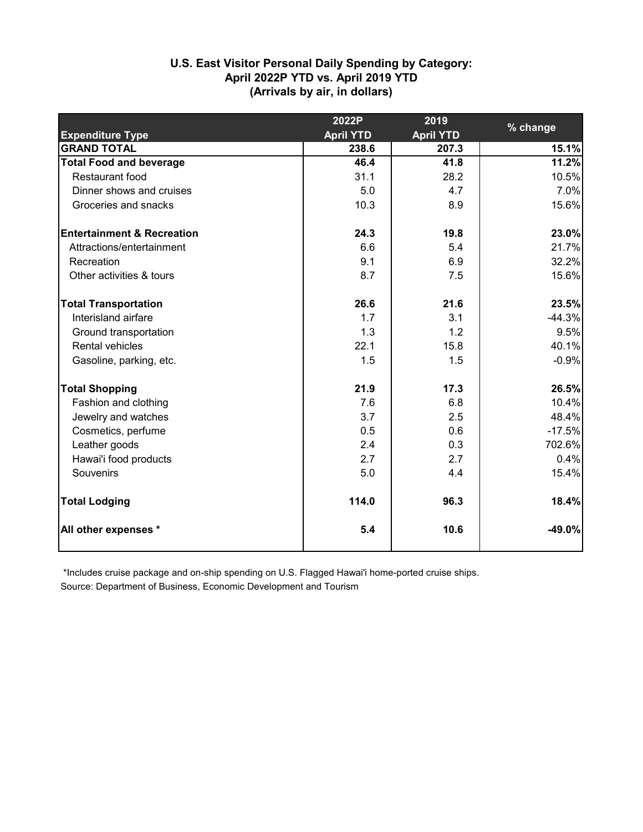# **(Arrivals by air, in dollars) U.S. East Visitor Personal Daily Spending by Category: April 2022P YTD vs. April 2019 YTD**

|                                       | 2022P            | 2019             |          |
|---------------------------------------|------------------|------------------|----------|
| <b>Expenditure Type</b>               | <b>April YTD</b> | <b>April YTD</b> | % change |
| <b>GRAND TOTAL</b>                    | 238.6            | 207.3            | 15.1%    |
| <b>Total Food and beverage</b>        | 46.4             | 41.8             | 11.2%    |
| Restaurant food                       | 31.1             | 28.2             | 10.5%    |
| Dinner shows and cruises              | 5.0              | 4.7              | 7.0%     |
| Groceries and snacks                  | 10.3             | 8.9              | 15.6%    |
| <b>Entertainment &amp; Recreation</b> | 24.3             | 19.8             | 23.0%    |
| Attractions/entertainment             | 6.6              | 5.4              | 21.7%    |
| Recreation                            | 9.1              | 6.9              | 32.2%    |
| Other activities & tours              | 8.7              | 7.5              | 15.6%    |
| <b>Total Transportation</b>           | 26.6             | 21.6             | 23.5%    |
| Interisland airfare                   | 1.7              | 3.1              | $-44.3%$ |
| Ground transportation                 | 1.3              | 1.2              | 9.5%     |
| <b>Rental vehicles</b>                | 22.1             | 15.8             | 40.1%    |
| Gasoline, parking, etc.               | 1.5              | 1.5              | $-0.9%$  |
| <b>Total Shopping</b>                 | 21.9             | 17.3             | 26.5%    |
| Fashion and clothing                  | 7.6              | 6.8              | 10.4%    |
| Jewelry and watches                   | 3.7              | 2.5              | 48.4%    |
| Cosmetics, perfume                    | 0.5              | 0.6              | $-17.5%$ |
| Leather goods                         | 2.4              | 0.3              | 702.6%   |
| Hawai'i food products                 | 2.7              | 2.7              | 0.4%     |
| Souvenirs                             | 5.0              | 4.4              | 15.4%    |
| <b>Total Lodging</b>                  | 114.0            | 96.3             | 18.4%    |
| All other expenses *                  | 5.4              | 10.6             | $-49.0%$ |

\*Includes cruise package and on-ship spending on U.S. Flagged Hawai'i home-ported cruise ships.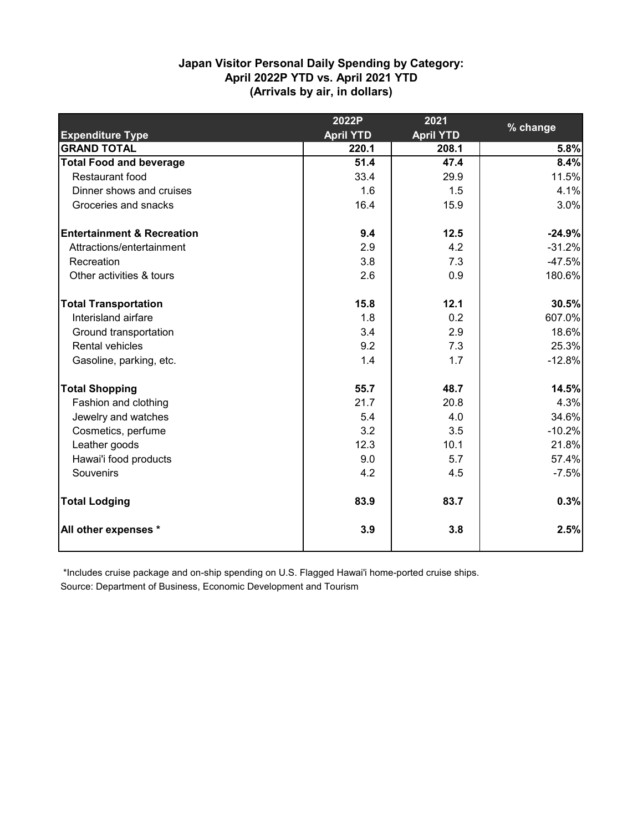# **(Arrivals by air, in dollars) Japan Visitor Personal Daily Spending by Category: April 2022P YTD vs. April 2021 YTD**

|                                       | 2022P            | 2021             |          |
|---------------------------------------|------------------|------------------|----------|
| <b>Expenditure Type</b>               | <b>April YTD</b> | <b>April YTD</b> | % change |
| <b>GRAND TOTAL</b>                    | 220.1            | 208.1            | 5.8%     |
| <b>Total Food and beverage</b>        | 51.4             | 47.4             | 8.4%     |
| <b>Restaurant food</b>                | 33.4             | 29.9             | 11.5%    |
| Dinner shows and cruises              | 1.6              | 1.5              | 4.1%     |
| Groceries and snacks                  | 16.4             | 15.9             | 3.0%     |
| <b>Entertainment &amp; Recreation</b> | 9.4              | 12.5             | $-24.9%$ |
| Attractions/entertainment             | 2.9              | 4.2              | $-31.2%$ |
| Recreation                            | 3.8              | 7.3              | $-47.5%$ |
| Other activities & tours              | 2.6              | 0.9              | 180.6%   |
| <b>Total Transportation</b>           | 15.8             | 12.1             | 30.5%    |
| Interisland airfare                   | 1.8              | 0.2              | 607.0%   |
| Ground transportation                 | 3.4              | 2.9              | 18.6%    |
| <b>Rental vehicles</b>                | 9.2              | 7.3              | 25.3%    |
| Gasoline, parking, etc.               | 1.4              | 1.7              | $-12.8%$ |
| <b>Total Shopping</b>                 | 55.7             | 48.7             | 14.5%    |
| Fashion and clothing                  | 21.7             | 20.8             | 4.3%     |
| Jewelry and watches                   | 5.4              | 4.0              | 34.6%    |
| Cosmetics, perfume                    | 3.2              | 3.5              | $-10.2%$ |
| Leather goods                         | 12.3             | 10.1             | 21.8%    |
| Hawai'i food products                 | 9.0              | 5.7              | 57.4%    |
| Souvenirs                             | 4.2              | 4.5              | $-7.5%$  |
| <b>Total Lodging</b>                  | 83.9             | 83.7             | 0.3%     |
| All other expenses *                  | 3.9              | 3.8              | 2.5%     |

\*Includes cruise package and on-ship spending on U.S. Flagged Hawai'i home-ported cruise ships.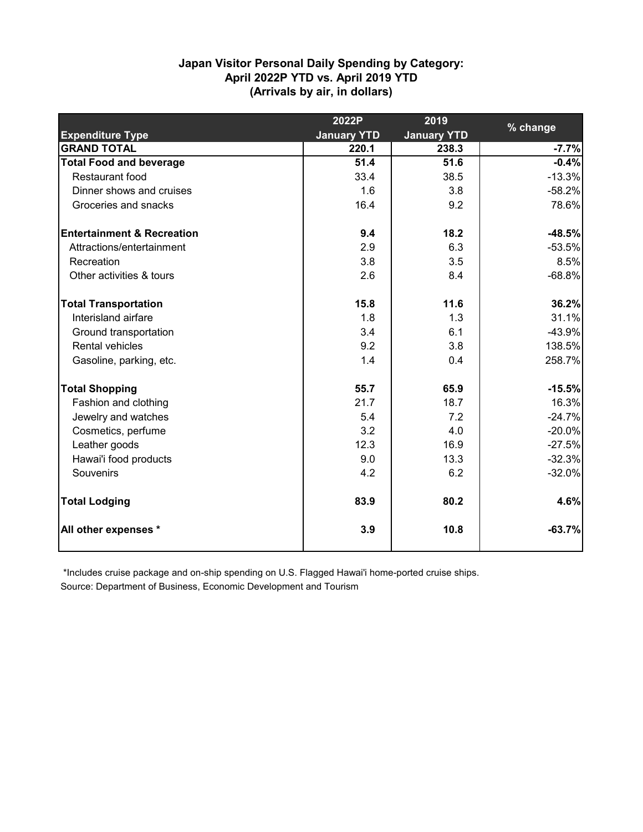# **(Arrivals by air, in dollars) Japan Visitor Personal Daily Spending by Category: April 2022P YTD vs. April 2019 YTD**

|                                       | 2022P              | 2019               | % change |
|---------------------------------------|--------------------|--------------------|----------|
| <b>Expenditure Type</b>               | <b>January YTD</b> | <b>January YTD</b> |          |
| <b>GRAND TOTAL</b>                    | 220.1              | 238.3              | $-7.7%$  |
| <b>Total Food and beverage</b>        | 51.4               | 51.6               | $-0.4%$  |
| <b>Restaurant food</b>                | 33.4               | 38.5               | $-13.3%$ |
| Dinner shows and cruises              | 1.6                | 3.8                | $-58.2%$ |
| Groceries and snacks                  | 16.4               | 9.2                | 78.6%    |
| <b>Entertainment &amp; Recreation</b> | 9.4                | 18.2               | $-48.5%$ |
| Attractions/entertainment             | 2.9                | 6.3                | $-53.5%$ |
| Recreation                            | 3.8                | 3.5                | 8.5%     |
| Other activities & tours              | 2.6                | 8.4                | $-68.8%$ |
| <b>Total Transportation</b>           | 15.8               | 11.6               | 36.2%    |
| Interisland airfare                   | 1.8                | 1.3                | 31.1%    |
| Ground transportation                 | 3.4                | 6.1                | $-43.9%$ |
| <b>Rental vehicles</b>                | 9.2                | 3.8                | 138.5%   |
| Gasoline, parking, etc.               | 1.4                | 0.4                | 258.7%   |
| <b>Total Shopping</b>                 | 55.7               | 65.9               | $-15.5%$ |
| Fashion and clothing                  | 21.7               | 18.7               | 16.3%    |
| Jewelry and watches                   | 5.4                | 7.2                | $-24.7%$ |
| Cosmetics, perfume                    | 3.2                | 4.0                | $-20.0%$ |
| Leather goods                         | 12.3               | 16.9               | $-27.5%$ |
| Hawai'i food products                 | 9.0                | 13.3               | $-32.3%$ |
| Souvenirs                             | 4.2                | 6.2                | $-32.0%$ |
| <b>Total Lodging</b>                  | 83.9               | 80.2               | 4.6%     |
| All other expenses *                  | 3.9                | 10.8               | $-63.7%$ |

\*Includes cruise package and on-ship spending on U.S. Flagged Hawai'i home-ported cruise ships.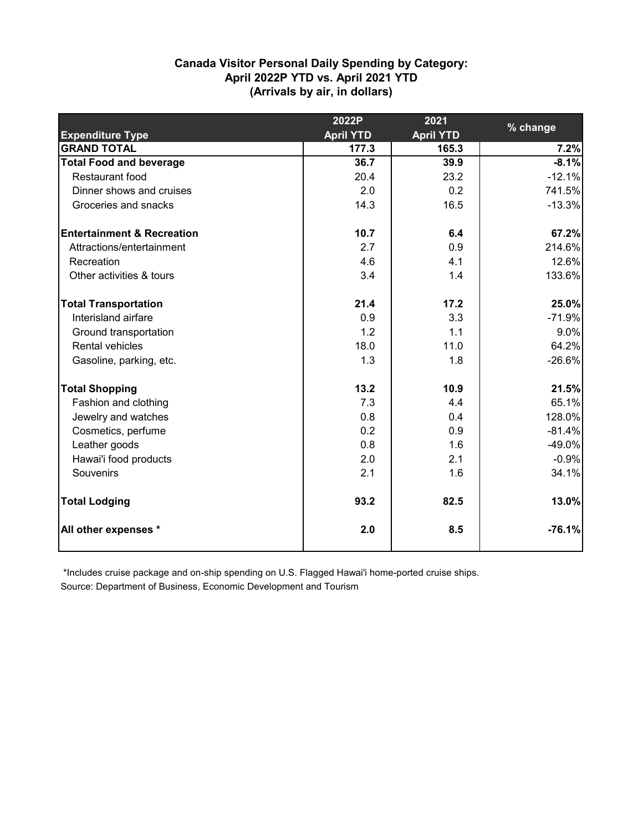# **(Arrivals by air, in dollars) Canada Visitor Personal Daily Spending by Category: April 2022P YTD vs. April 2021 YTD**

|                                       | 2022P            | 2021             |          |
|---------------------------------------|------------------|------------------|----------|
| <b>Expenditure Type</b>               | <b>April YTD</b> | <b>April YTD</b> | % change |
| <b>GRAND TOTAL</b>                    | 177.3            | 165.3            | 7.2%     |
| <b>Total Food and beverage</b>        | 36.7             | 39.9             | $-8.1%$  |
| <b>Restaurant food</b>                | 20.4             | 23.2             | $-12.1%$ |
| Dinner shows and cruises              | 2.0              | 0.2              | 741.5%   |
| Groceries and snacks                  | 14.3             | 16.5             | $-13.3%$ |
| <b>Entertainment &amp; Recreation</b> | 10.7             | 6.4              | 67.2%    |
| Attractions/entertainment             | 2.7              | 0.9              | 214.6%   |
| Recreation                            | 4.6              | 4.1              | 12.6%    |
| Other activities & tours              | 3.4              | 1.4              | 133.6%   |
| <b>Total Transportation</b>           | 21.4             | 17.2             | 25.0%    |
| Interisland airfare                   | 0.9              | 3.3              | $-71.9%$ |
| Ground transportation                 | 1.2              | 1.1              | 9.0%     |
| Rental vehicles                       | 18.0             | 11.0             | 64.2%    |
| Gasoline, parking, etc.               | 1.3              | 1.8              | $-26.6%$ |
| <b>Total Shopping</b>                 | 13.2             | 10.9             | 21.5%    |
| Fashion and clothing                  | 7.3              | 4.4              | 65.1%    |
| Jewelry and watches                   | 0.8              | 0.4              | 128.0%   |
| Cosmetics, perfume                    | 0.2              | 0.9              | $-81.4%$ |
| Leather goods                         | 0.8              | 1.6              | $-49.0%$ |
| Hawai'i food products                 | 2.0              | 2.1              | $-0.9%$  |
| Souvenirs                             | 2.1              | 1.6              | 34.1%    |
| <b>Total Lodging</b>                  | 93.2             | 82.5             | 13.0%    |
| All other expenses *                  | 2.0              | 8.5              | $-76.1%$ |

\*Includes cruise package and on-ship spending on U.S. Flagged Hawai'i home-ported cruise ships.